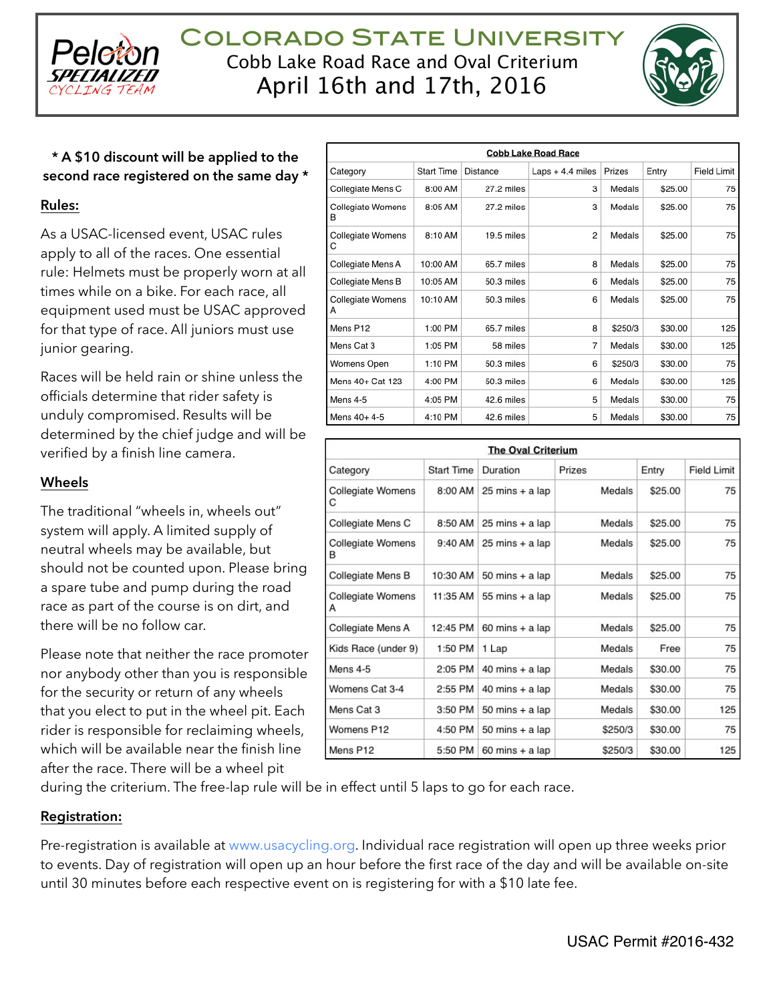

Colorado State University Cobb Lake Road Race and Oval Criterium April 16th and 17th, 2016



# **\* A \$10 discount will be applied to the second race registered on the same day \***

#### **Rules:**

As a USAC-licensed event, USAC rules apply to all of the races. One essential rule: Helmets must be properly worn at all times while on a bike. For each race, all equipment used must be USAC approved for that type of race. All juniors must use junior gearing.

Races will be held rain or shine unless the officials determine that rider safety is unduly compromised. Results will be determined by the chief judge and will be verified by a finish line camera.

#### **Wheels**

The traditional "wheels in, wheels out" system will apply. A limited supply of neutral wheels may be available, but should not be counted upon. Please bring a spare tube and pump during the road race as part of the course is on dirt, and there will be no follow car.

Please note that neither the race promoter nor anybody other than you is responsible for the security or return of any wheels that you elect to put in the wheel pit. Each rider is responsible for reclaiming wheels, which will be available near the finish line after the race. There will be a wheel pit

| <b>Cobb Lake Road Race</b>    |                   |            |                   |         |         |                    |  |  |  |  |
|-------------------------------|-------------------|------------|-------------------|---------|---------|--------------------|--|--|--|--|
| Category                      | <b>Start Time</b> | Distance   | Laps $+4.4$ miles | Prizes  | Entry   | <b>Field Limit</b> |  |  |  |  |
| Collegiate Mens C             | 8:00 AM           | 27.2 miles | 3                 | Medals  | \$25.00 | 75                 |  |  |  |  |
| Collegiate Womens<br>в        | 8:05 AM           | 27.2 miles | 3                 | Medals  | \$25.00 | 75                 |  |  |  |  |
| <b>Collegiate Womens</b><br>С | 8:10 AM           | 19.5 miles | $\overline{2}$    | Medals  | \$25.00 | 75                 |  |  |  |  |
| Collegiate Mens A             | 10:00 AM          | 65.7 miles | 8                 | Medals  | \$25.00 | 75                 |  |  |  |  |
| Collegiate Mens B             | 10:05 AM          | 50.3 miles | 6                 | Medals  | \$25.00 | 75                 |  |  |  |  |
| <b>Collegiate Womens</b><br>А | 10:10 AM          | 50.3 miles | 6                 | Medals  | \$25.00 | 75                 |  |  |  |  |
| Mens P <sub>12</sub>          | 1:00 PM           | 65.7 miles | 8                 | \$250/3 | \$30.00 | 125                |  |  |  |  |
| Mens Cat 3                    | 1:05 PM           | 58 miles   | 7                 | Medals  | \$30.00 | 125                |  |  |  |  |
| Womens Open                   | 1:10 PM           | 50.3 miles | 6                 | \$250/3 | \$30.00 | 75                 |  |  |  |  |
| Mens 40+ Cat 123              | 4:00 PM           | 50.3 miles | 6                 | Medals  | \$30.00 | 125                |  |  |  |  |
| Mens 4-5                      | 4:05 PM           | 42.6 miles | 5                 | Medals  | \$30.00 | 75                 |  |  |  |  |
| Mens 40+ 4-5                  | 4:10 PM           | 42.6 miles | 5                 | Medals  | \$30.00 | 75                 |  |  |  |  |

| <b>The Oval Criterium</b> |                   |                                   |         |         |                    |  |  |  |  |
|---------------------------|-------------------|-----------------------------------|---------|---------|--------------------|--|--|--|--|
| Category                  | <b>Start Time</b> | Duration                          | Prizes  | Entry   | <b>Field Limit</b> |  |  |  |  |
| Collegiate Womens<br>С    | 8:00 AM           | $25 \text{ mins} + a \text{ lap}$ | Medals  | \$25.00 | 75                 |  |  |  |  |
| Collegiate Mens C         | 8:50 AM           | $25 \text{ mins} + a \text{ lap}$ | Medals  | \$25.00 | 75                 |  |  |  |  |
| Collegiate Womens<br>В    | 9:40 AM           | 25 mins + a lap                   | Medals  | \$25.00 | 75                 |  |  |  |  |
| Collegiate Mens B         | 10:30 AM          | $50$ mins + a lap                 | Medals  | \$25.00 | 75                 |  |  |  |  |
| Collegiate Womens<br>Α    | 11:35 AM          | 55 mins + a lap                   | Medals  | \$25.00 | 75                 |  |  |  |  |
| Collegiate Mens A         | 12:45 PM          | $60$ mins + a lap                 | Medals  | \$25.00 | 75                 |  |  |  |  |
| Kids Race (under 9)       | 1:50 PM           | 1 Lap                             | Medals  | Free    | 75                 |  |  |  |  |
| Mens 4-5                  | 2:05 PM           | $40$ mins + a lap                 | Medals  | \$30.00 | 75                 |  |  |  |  |
| Womens Cat 3-4            | 2:55 PM           | $40$ mins + a lap                 | Medals  | \$30.00 | 75                 |  |  |  |  |
| Mens Cat 3                | 3:50 PM           | 50 mins + a lap                   | Medals  | \$30.00 | 125                |  |  |  |  |
| Womens P12                | 4:50 PM           | 50 mins + a lap                   | \$250/3 | \$30.00 | 75                 |  |  |  |  |
| Mens P12                  | 5:50 PM           | $60$ mins + a lap                 | \$250/3 | \$30.00 | 125                |  |  |  |  |

during the criterium. The free-lap rule will be in effect until 5 laps to go for each race.

#### **Registration:**

Pre-registration is available at [www.usacycling.org.](http://www.usacycling.org) Individual race registration will open up three weeks prior to events. Day of registration will open up an hour before the first race of the day and will be available on-site until 30 minutes before each respective event on is registering for with a \$10 late fee.